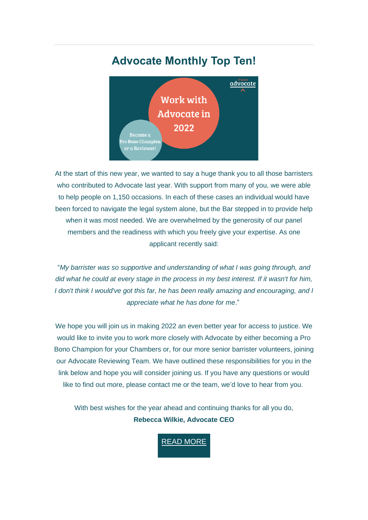# **Advocate Monthly Top Ten!**



At the start of this new year, we wanted to say a huge thank you to all those barristers who contributed to Advocate last year. With support from many of you, we were able to help people on 1,150 occasions. In each of these cases an individual would have been forced to navigate the legal system alone, but the Bar stepped in to provide help when it was most needed. We are overwhelmed by the generosity of our panel members and the readiness with which you freely give your expertise. As one applicant recently said:

"*My barrister was so supportive and understanding of what I was going through, and did what he could at every stage in the process in my best interest. If it wasn't for him, I don't think I would've got this far, he has been really amazing and encouraging, and I appreciate what he has done for me*."

We hope you will join us in making 2022 an even better year for access to justice. We would like to invite you to work more closely with Advocate by either becoming a Pro Bono Champion for your Chambers or, for our more senior barrister volunteers, joining our Advocate Reviewing Team. We have outlined these responsibilities for you in the link below and hope you will consider joining us. If you have any questions or would like to find out more, please contact me or the team, we'd love to hear from you.

With best wishes for the year ahead and continuing thanks for all you do, **Rebecca Wilkie, Advocate CEO**

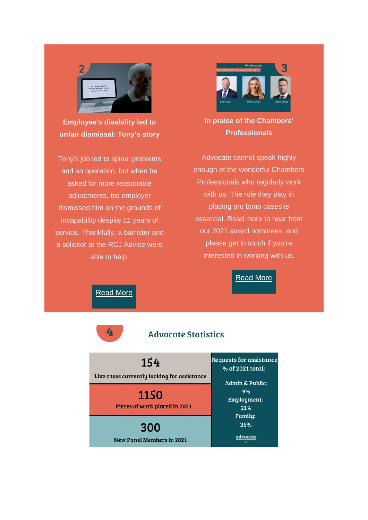

**Employee's disability led to unfair dismissal: Tony's story**

Tony's job led to spinal problems and an operation, but when he asked for more reasonable adjustments, his employer dismissed him on the grounds of incapability despite 11 years of service. Thankfully, a barrister and a solicitor at the RCJ Advice were able to help.



**In praise of the Chambers' Professionals**

Advocate cannot speak highly enough of the wonderful Chambers Professionals who regularly work with us. The role they play in placing pro bono cases is essential. Read more to hear from our 2021 award nominees, and please get in touch if you're interested in working with us.

## [Read](https://weareadvocate.org.uk/news/in-praise-of-the-chambers-professionals.html) More

[Read](https://weareadvocate.org.uk/what-we-do/applicant-stories/tonys-story.html) More

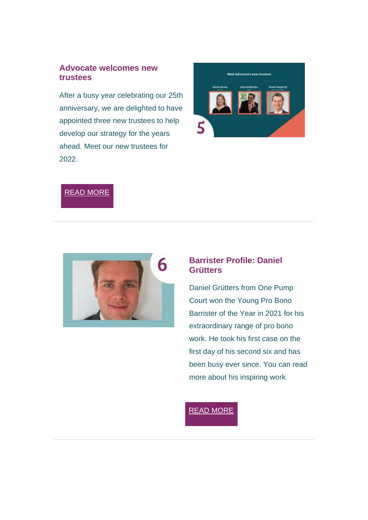#### **Advocate welcomes new trustees**

After a busy year celebrating our 25th anniversary, we are delighted to have appointed three new trustees to help develop our strategy for the years ahead. Meet our new trustees for 2022.



### READ [MORE](https://weareadvocate.org.uk/news/meet-advocates-new-trustees.html)



#### **Barrister Profile: Daniel Grütters**

Daniel Grütters from One Pump Court won the Young Pro Bono Barrister of the Year in 2021 for his extraordinary range of pro bono work. He took his first case on the first day of his second six and has been busy ever since. You can read more about his inspiring work.

### READ [MORE](https://weareadvocate.org.uk/volunteer/volunteer-stories.html)